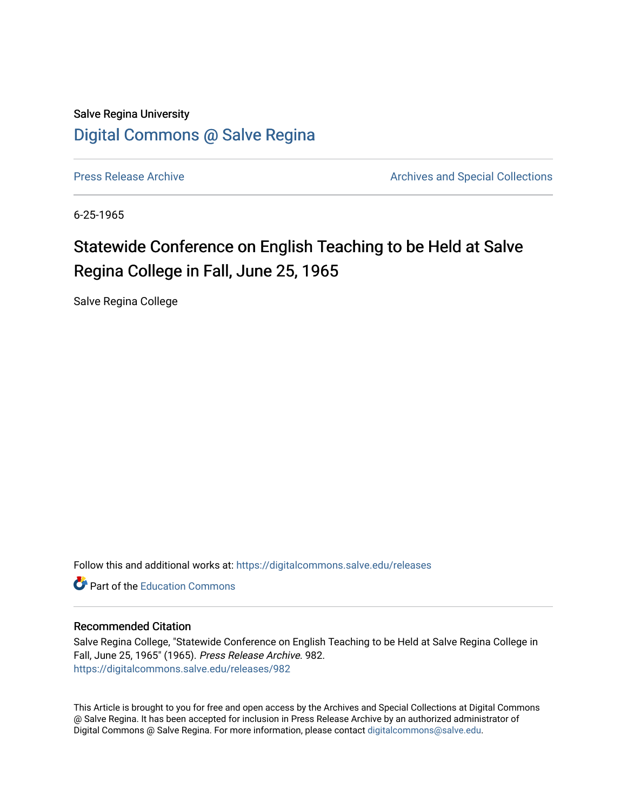Salve Regina University [Digital Commons @ Salve Regina](https://digitalcommons.salve.edu/) 

[Press Release Archive](https://digitalcommons.salve.edu/releases) **Archives** Archives and Special Collections

6-25-1965

# Statewide Conference on English Teaching to be Held at Salve Regina College in Fall, June 25, 1965

Salve Regina College

Follow this and additional works at: [https://digitalcommons.salve.edu/releases](https://digitalcommons.salve.edu/releases?utm_source=digitalcommons.salve.edu%2Freleases%2F982&utm_medium=PDF&utm_campaign=PDFCoverPages) 

**C** Part of the [Education Commons](http://network.bepress.com/hgg/discipline/784?utm_source=digitalcommons.salve.edu%2Freleases%2F982&utm_medium=PDF&utm_campaign=PDFCoverPages)

### Recommended Citation

Salve Regina College, "Statewide Conference on English Teaching to be Held at Salve Regina College in Fall, June 25, 1965" (1965). Press Release Archive. 982. [https://digitalcommons.salve.edu/releases/982](https://digitalcommons.salve.edu/releases/982?utm_source=digitalcommons.salve.edu%2Freleases%2F982&utm_medium=PDF&utm_campaign=PDFCoverPages) 

This Article is brought to you for free and open access by the Archives and Special Collections at Digital Commons @ Salve Regina. It has been accepted for inclusion in Press Release Archive by an authorized administrator of Digital Commons @ Salve Regina. For more information, please contact [digitalcommons@salve.edu](mailto:digitalcommons@salve.edu).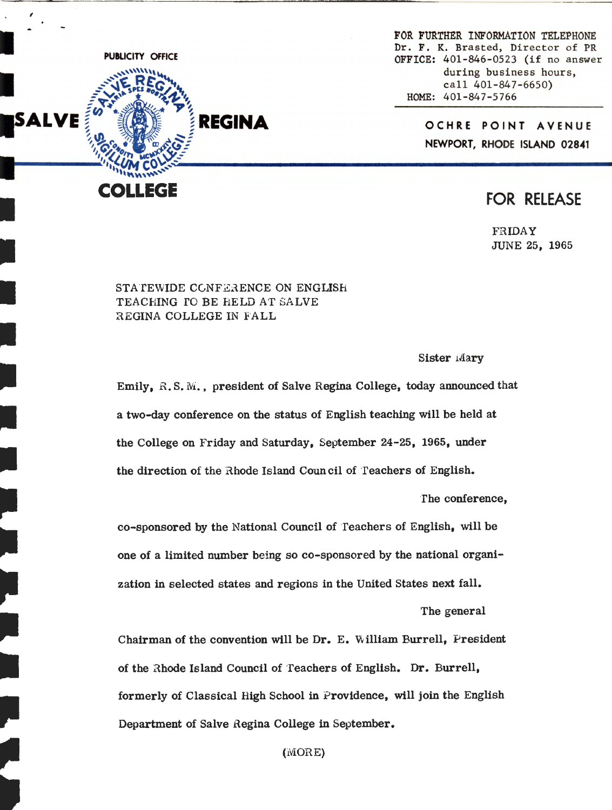

I

,

I

I

I

I

-

•

~

•

•

**fl** 

-

-

•

FOR FURTHER INFORMATION TELEPHONE Dr. F. K. Brasted, Director of PR OFFICE: 401-846-0523 (if no answer during business hours, call 401-847-6650) HOME: 401-847-5766

> **OCHRE POINT AVENUE NEWPORT, RHODE ISLAND 02841**

## FOR RELEASE

FRIDAY JUNE 25, 1965

### STATEWIDE CONFERENCE ON ENGLISH TEACHING TO BE FIELD AT SALVE REGINA COLLEGE IN FALL

Sister Mary

Emily, R. S. M., president of Salve Regina College, today announced that a two-day conference on the status of English teaching will be held at the College on Friday and Saturday, September 24-25, 1965, under the direction of the Rhode Island Council of Teachers of English.

The conference,

co-sponsored by the National Council of Teachers of English, will be one of a limited number being so co-sponsored by the national organization in selected states and regions in the United States next fall.

The general

Chairman of the convention will be Dr. E. William Burrell, President of the Rhode Island Council of Teachers of English. Dr. Burrell, formerly of Classical High School in Providence, will join the English Department of Salve Regina College in September.

(MORE)